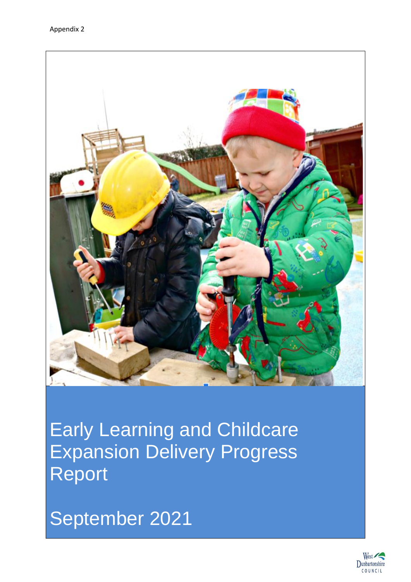

Early Learning and Childcare Expansion Delivery Progress Report

September 2021

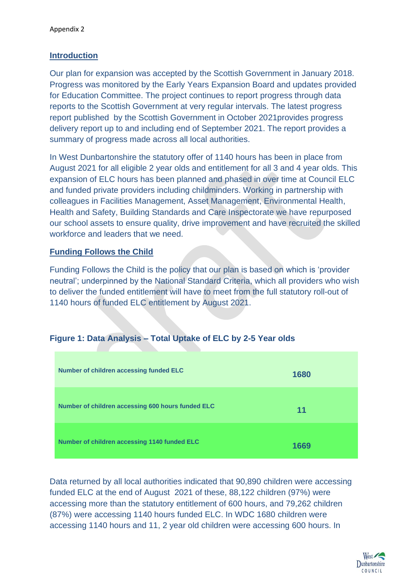### **Introduction**

Our plan for expansion was accepted by the Scottish Government in January 2018. Progress was monitored by the Early Years Expansion Board and updates provided for Education Committee. The project continues to report progress through data reports to the Scottish Government at very regular intervals. The latest progress report published by the Scottish Government in October 2021provides progress delivery report up to and including end of September 2021. The report provides a summary of progress made across all local authorities.

In West Dunbartonshire the statutory offer of 1140 hours has been in place from August 2021 for all eligible 2 year olds and entitlement for all 3 and 4 year olds. This expansion of ELC hours has been planned and phased in over time at Council ELC and funded private providers including childminders. Working in partnership with colleagues in Facilities Management, Asset Management, Environmental Health, Health and Safety, Building Standards and Care Inspectorate we have repurposed our school assets to ensure quality, drive improvement and have recruited the skilled workforce and leaders that we need.

## **Funding Follows the Child**

Funding Follows the Child is the policy that our plan is based on which is 'provider neutral'; underpinned by the National Standard Criteria, which all providers who wish to deliver the funded entitlement will have to meet from the full statutory roll-out of 1140 hours of funded ELC entitlement by August 2021.

## **Figure 1: Data Analysis – Total Uptake of ELC by 2-5 Year olds**

| Number of children accessing funded ELC           | 1680 |
|---------------------------------------------------|------|
| Number of children accessing 600 hours funded ELC | 11   |
| Number of children accessing 1140 funded ELC      | 1669 |

Data returned by all local authorities indicated that 90,890 children were accessing funded ELC at the end of August 2021 of these, 88,122 children (97%) were accessing more than the statutory entitlement of 600 hours, and 79,262 children (87%) were accessing 1140 hours funded ELC. In WDC 1680 children were accessing 1140 hours and 11, 2 year old children were accessing 600 hours. In

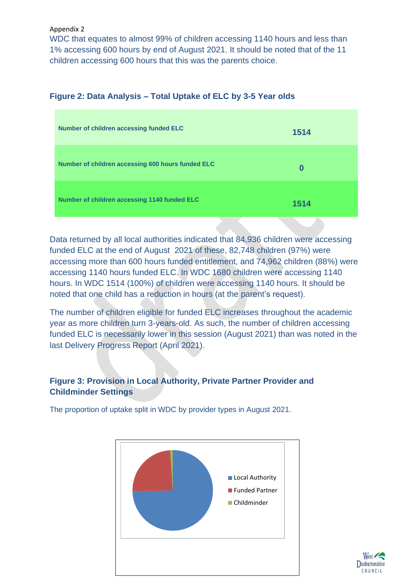Appendix 2

WDC that equates to almost 99% of children accessing 1140 hours and less than 1% accessing 600 hours by end of August 2021. It should be noted that of the 11 children accessing 600 hours that this was the parents choice.

## **Figure 2: Data Analysis – Total Uptake of ELC by 3-5 Year olds**

| Number of children accessing funded ELC           | 1514 |
|---------------------------------------------------|------|
| Number of children accessing 600 hours funded ELC | 0    |
| Number of children accessing 1140 funded ELC      | 1514 |

Data returned by all local authorities indicated that 84,936 children were accessing funded ELC at the end of August 2021 of these, 82,748 children (97%) were accessing more than 600 hours funded entitlement, and 74,962 children (88%) were accessing 1140 hours funded ELC. In WDC 1680 children were accessing 1140 hours. In WDC 1514 (100%) of children were accessing 1140 hours. It should be noted that one child has a reduction in hours (at the parent's request).

The number of children eligible for funded ELC increases throughout the academic year as more children turn 3-years-old. As such, the number of children accessing funded ELC is necessarily lower in this session (August 2021) than was noted in the last Delivery Progress Report (April 2021).

# **Figure 3: Provision in Local Authority, Private Partner Provider and Childminder Settings**

The proportion of uptake split in WDC by provider types in August 2021.



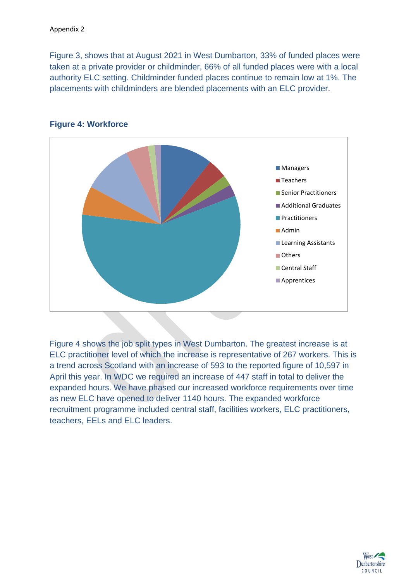Figure 3, shows that at August 2021 in West Dumbarton, 33% of funded places were taken at a private provider or childminder, 66% of all funded places were with a local authority ELC setting. Childminder funded places continue to remain low at 1%. The placements with childminders are blended placements with an ELC provider.



# **Figure 4: Workforce**

Figure 4 shows the job split types in West Dumbarton. The greatest increase is at ELC practitioner level of which the increase is representative of 267 workers. This is a trend across Scotland with an increase of 593 to the reported figure of 10,597 in April this year. In WDC we required an increase of 447 staff in total to deliver the expanded hours. We have phased our increased workforce requirements over time as new ELC have opened to deliver 1140 hours. The expanded workforce recruitment programme included central staff, facilities workers, ELC practitioners, teachers, EELs and ELC leaders.

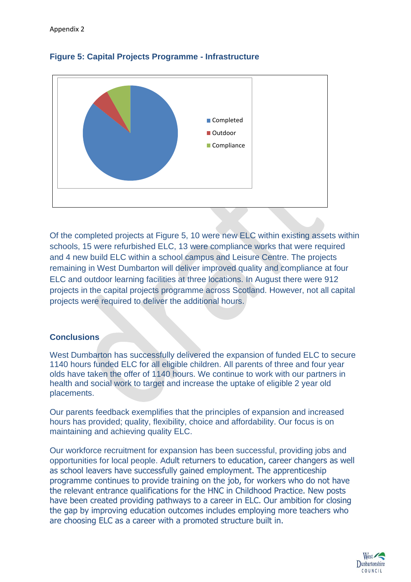



Of the completed projects at Figure 5, 10 were new ELC within existing assets within schools, 15 were refurbished ELC, 13 were compliance works that were required and 4 new build ELC within a school campus and Leisure Centre. The projects remaining in West Dumbarton will deliver improved quality and compliance at four ELC and outdoor learning facilities at three locations. In August there were 912 projects in the capital projects programme across Scotland. However, not all capital projects were required to deliver the additional hours.

## **Conclusions**

West Dumbarton has successfully delivered the expansion of funded ELC to secure 1140 hours funded ELC for all eligible children. All parents of three and four year olds have taken the offer of 1140 hours. We continue to work with our partners in health and social work to target and increase the uptake of eligible 2 year old placements.

Our parents feedback exemplifies that the principles of expansion and increased hours has provided; quality, flexibility, choice and affordability. Our focus is on maintaining and achieving quality ELC.

Our workforce recruitment for expansion has been successful, providing jobs and opportunities for local people. Adult returners to education, career changers as well as school leavers have successfully gained employment. The apprenticeship programme continues to provide training on the job, for workers who do not have the relevant entrance qualifications for the HNC in Childhood Practice. New posts have been created providing pathways to a career in ELC. Our ambition for closing the gap by improving education outcomes includes employing more teachers who are choosing ELC as a career with a promoted structure built in.